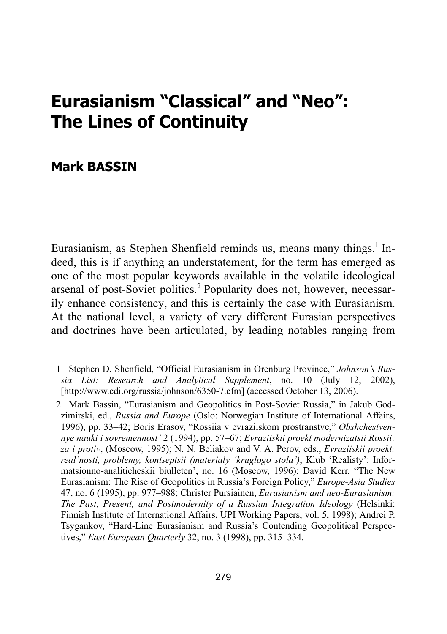# **Eurasianism "Classical" and "Neo": The Lines of Continuity**

# **Mark BASSIN**

l

Eurasianism, as Stephen Shenfield reminds us, means many things.<sup>1</sup> Indeed, this is if anything an understatement, for the term has emerged as one of the most popular keywords available in the volatile ideological arsenal of post-Soviet politics.<sup>2</sup> Popularity does not, however, necessarily enhance consistency, and this is certainly the case with Eurasianism. At the national level, a variety of very different Eurasian perspectives and doctrines have been articulated, by leading notables ranging from

 <sup>1</sup> Stephen D. Shenfield, "Official Eurasianism in Orenburg Province," *Johnson's Russia List: Research and Analytical Supplement*, no. 10 (July 12, 2002), [http://www.cdi.org/russia/johnson/6350-7.cfm] (accessed October 13, 2006).

 <sup>2</sup> Mark Bassin, "Eurasianism and Geopolitics in Post-Soviet Russia," in Jakub Godzimirski, ed., *Russia and Europe* (Oslo: Norwegian Institute of International Affairs, 1996), pp. 33–42; Boris Erasov, "Rossiia v evraziiskom prostranstve," *Obshchestvennye nauki i sovremennost'* 2 (1994), pp. 57–67; *Evraziiskii proekt modernizatsii Rossii: za i protiv*, (Moscow, 1995); N. N. Beliakov and V. A. Perov, eds., *Evraziiskii proekt: real'nosti, problemy, kontseptsii (materialy 'kruglogo stola')*, Klub 'Realisty': Informatsionno-analiticheskii biulleten', no. 16 (Moscow, 1996); David Kerr, "The New Eurasianism: The Rise of Geopolitics in Russia's Foreign Policy," *Europe-Asia Studies* 47, no. 6 (1995), pp. 977–988; Christer Pursiainen, *Eurasianism and neo-Eurasianism: The Past, Present, and Postmodernity of a Russian Integration Ideology* (Helsinki: Finnish Institute of International Affairs, UPI Working Papers, vol. 5, 1998); Andrei P. Tsygankov, "Hard-Line Eurasianism and Russia's Contending Geopolitical Perspectives," *East European Quarterly* 32, no. 3 (1998), pp. 315–334.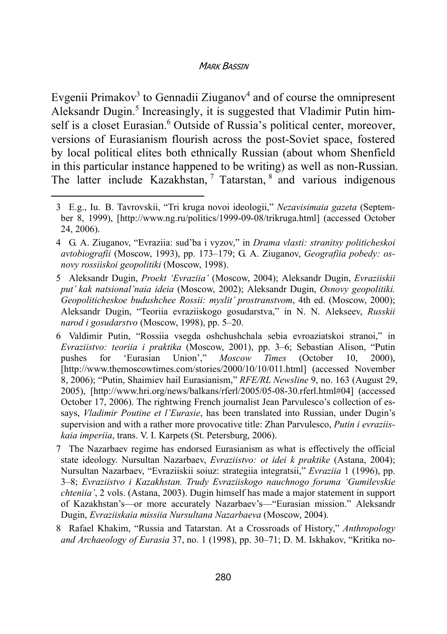Evgenii Primakov<sup>3</sup> to Gennadii Ziuganov<sup>4</sup> and of course the omnipresent Aleksandr Dugin.<sup>5</sup> Increasingly, it is suggested that Vladimir Putin himself is a closet Eurasian.<sup>6</sup> Outside of Russia's political center, moreover, versions of Eurasianism flourish across the post-Soviet space, fostered by local political elites both ethnically Russian (about whom Shenfield in this particular instance happened to be writing) as well as non-Russian. The latter include Kazakhstan,  $7$  Tatarstan,  $8$  and various indigenous

 <sup>3</sup> E.g., Iu. B. Tavrovskii, "Tri kruga novoi ideologii," *Nezavisimaia gazeta* (September 8, 1999), [http://www.ng.ru/politics/1999-09-08/trikruga.html] (accessed October 24, 2006).

 <sup>4</sup> G. A. Ziuganov, "Evraziia: sud'ba i vyzov," in *Drama vlasti: stranitsy politicheskoi avtobiografii* (Moscow, 1993), pp. 173–179; G. A. Ziuganov, *Geografiia pobedy: osnovy rossiiskoi geopolitiki* (Moscow, 1998).

 <sup>5</sup> Aleksandr Dugin, *Proekt 'Evraziia'* (Moscow, 2004); Aleksandr Dugin, *Evraziiskii put' kak natsional'naia ideia* (Moscow, 2002); Aleksandr Dugin, *Osnovy geopolitiki. Geopoliticheskoe budushchee Rossii: myslit' prostranstvom*, 4th ed. (Moscow, 2000); Aleksandr Dugin, "Teoriia evraziiskogo gosudarstva," in N. N. Alekseev, *Russkii narod i gosudarstvo* (Moscow, 1998), pp. 5–20.

 <sup>6</sup> Valdimir Putin, "Rossiia vsegda oshchushchala sebia evroaziatskoi stranoi," in *Evraziistvo: teoriia i praktika* (Moscow, 2001), pp. 3–6; Sebastian Alison, "Putin pushes for 'Eurasian Union'," *Moscow Times* (October 10, 2000), [http://www.themoscowtimes.com/stories/2000/10/10/011.html] (accessed November 8, 2006); "Putin, Shaimiev hail Eurasianism," *RFE/RL Newsline* 9, no. 163 (August 29, 2005), [http://www.hri.org/news/balkans/rferl/2005/05-08-30.rferl.html#04] (accessed October 17, 2006). The rightwing French journalist Jean Parvulesco's collection of essays, *Vladimir Poutine et l'Eurasie*, has been translated into Russian, under Dugin's supervision and with a rather more provocative title: Zhan Parvulesco, *Putin i evraziiskaia imperiia*, trans. V. I. Karpets (St. Petersburg, 2006).

 <sup>7</sup> The Nazarbaev regime has endorsed Eurasianism as what is effectively the official state ideology. Nursultan Nazarbaev, *Evraziistvo: ot idei k praktike* (Astana, 2004); Nursultan Nazarbaev, "Evraziiskii soiuz: strategiia integratsii," *Evraziia* 1 (1996), pp. 3–8; *Evraziistvo i Kazakhstan. Trudy Evraziiskogo nauchnogo foruma 'Gumilevskie chteniia'*, 2 vols. (Astana, 2003). Dugin himself has made a major statement in support of Kazakhstan's—or more accurately Nazarbaev's—"Eurasian mission." Aleksandr Dugin, *Evraziiskaia missiia Nursultana Nazarbaeva* (Moscow, 2004).

 <sup>8</sup> Rafael Khakim, "Russia and Tatarstan. At a Crossroads of History," *Anthropology and Archaeology of Eurasia* 37, no. 1 (1998), pp. 30–71; D. M. Iskhakov, "Kritika no-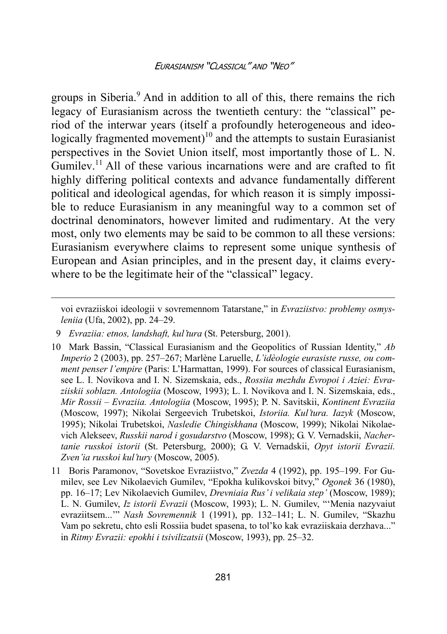groups in Siberia.<sup>9</sup> And in addition to all of this, there remains the rich legacy of Eurasianism across the twentieth century: the "classical" period of the interwar years (itself a profoundly heterogeneous and ideologically fragmented movement)<sup>10</sup> and the attempts to sustain Eurasianist perspectives in the Soviet Union itself, most importantly those of L. N.  $G$ umilev.<sup>11</sup> All of these various incarnations were and are crafted to fit. highly differing political contexts and advance fundamentally different political and ideological agendas, for which reason it is simply impossible to reduce Eurasianism in any meaningful way to a common set of doctrinal denominators, however limited and rudimentary. At the very most, only two elements may be said to be common to all these versions: Eurasianism everywhere claims to represent some unique synthesis of European and Asian principles, and in the present day, it claims everywhere to be the legitimate heir of the "classical" legacy.

voi evraziiskoi ideologii v sovremennom Tatarstane," in *Evraziistvo: problemy osmysleniia* (Ufa, 2002), pp. 24–29.

 <sup>9</sup> *Evraziia: etnos, landshaft, kul'tura* (St. Petersburg, 2001).

<sup>10</sup> Mark Bassin, "Classical Eurasianism and the Geopolitics of Russian Identity," *Ab Imperio* 2 (2003), pp. 257–267; Marlène Laruelle, *L'idèologie eurasiste russe, ou comment penser l'empire* (Paris: L'Harmattan, 1999). For sources of classical Eurasianism, see L. I. Novikova and I. N. Sizemskaia, eds., *Rossiia mezhdu Evropoi i Aziei: Evraziiskii soblazn. Antologiia* (Moscow, 1993); L. I. Novikova and I. N. Sizemskaia, eds., *Mir Rossii* – *Evraziia. Antologiia* (Moscow, 1995); P. N. Savitskii, *Kontinent Evraziia* (Moscow, 1997); Nikolai Sergeevich Trubetskoi, *Istoriia. Kul'tura. Iazyk* (Moscow, 1995); Nikolai Trubetskoi, *Nasledie Chingiskhana* (Moscow, 1999); Nikolai Nikolaevich Alekseev, *Russkii narod i gosudarstvo* (Moscow, 1998); G. V. Vernadskii, *Nachertanie russkoi istorii* (St. Petersburg, 2000); G. V. Vernadskii, *Opyt istorii Evrazii. Zven'ia russkoi kul'tury* (Moscow, 2005).

<sup>11</sup> Boris Paramonov, "Sovetskoe Evraziistvo," *Zvezda* 4 (1992), pp. 195–199. For Gumilev, see Lev Nikolaevich Gumilev, "Epokha kulikovskoi bitvy," *Ogonek* 36 (1980), pp. 16–17; Lev Nikolaevich Gumilev, *Drevniaia Rus' i velikaia step'* (Moscow, 1989); L. N. Gumilev, *Iz istorii Evrazii* (Moscow, 1993); L. N. Gumilev, "'Menia nazyvaiut evraziitsem...'" *Nash Sovremennik* 1 (1991), pp. 132–141; L. N. Gumilev, "Skazhu Vam po sekretu, chto esli Rossiia budet spasena, to tol'ko kak evraziiskaia derzhava..." in *Ritmy Evrazii: epokhi i tsivilizatsii* (Moscow, 1993), pp. 25–32.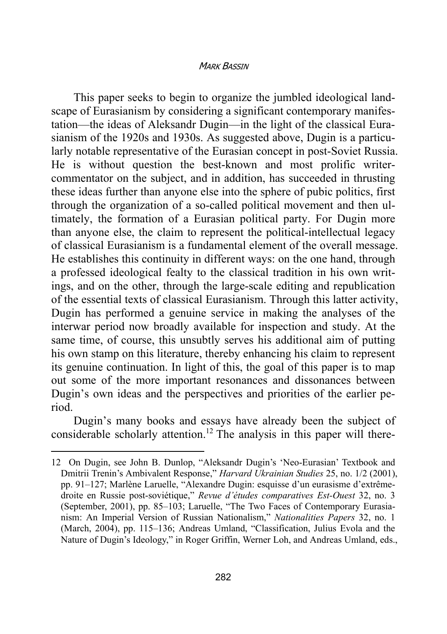This paper seeks to begin to organize the jumbled ideological landscape of Eurasianism by considering a significant contemporary manifestation—the ideas of Aleksandr Dugin—in the light of the classical Eurasianism of the 1920s and 1930s. As suggested above, Dugin is a particularly notable representative of the Eurasian concept in post-Soviet Russia. He is without question the best-known and most prolific writercommentator on the subject, and in addition, has succeeded in thrusting these ideas further than anyone else into the sphere of pubic politics, first through the organization of a so-called political movement and then ultimately, the formation of a Eurasian political party. For Dugin more than anyone else, the claim to represent the political-intellectual legacy of classical Eurasianism is a fundamental element of the overall message. He establishes this continuity in different ways: on the one hand, through a professed ideological fealty to the classical tradition in his own writings, and on the other, through the large-scale editing and republication of the essential texts of classical Eurasianism. Through this latter activity, Dugin has performed a genuine service in making the analyses of the interwar period now broadly available for inspection and study. At the same time, of course, this unsubtly serves his additional aim of putting his own stamp on this literature, thereby enhancing his claim to represent its genuine continuation. In light of this, the goal of this paper is to map out some of the more important resonances and dissonances between Dugin's own ideas and the perspectives and priorities of the earlier period.

Dugin's many books and essays have already been the subject of considerable scholarly attention.<sup>12</sup> The analysis in this paper will there-

<sup>12</sup> On Dugin, see John B. Dunlop, "Aleksandr Dugin's 'Neo-Eurasian' Textbook and Dmitrii Trenin's Ambivalent Response," *Harvard Ukrainian Studies* 25, no. 1/2 (2001), pp. 91–127; Marlène Laruelle, "Alexandre Dugin: esquisse d'un eurasisme d'extrêmedroite en Russie post-soviétique," *Revue d'études comparatives Est-Ouest* 32, no. 3 (September, 2001), pp. 85–103; Laruelle, "The Two Faces of Contemporary Eurasianism: An Imperial Version of Russian Nationalism," *Nationalities Papers* 32, no. 1 (March, 2004), pp. 115–136; Andreas Umland, "Classification, Julius Evola and the Nature of Dugin's Ideology," in Roger Griffin, Werner Loh, and Andreas Umland, eds.,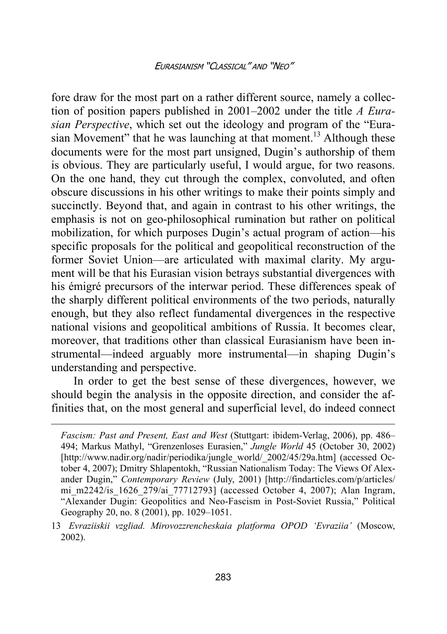fore draw for the most part on a rather different source, namely a collection of position papers published in 2001–2002 under the title *A Eurasian Perspective*, which set out the ideology and program of the "Eurasian Movement" that he was launching at that moment.<sup>13</sup> Although these documents were for the most part unsigned, Dugin's authorship of them is obvious. They are particularly useful, I would argue, for two reasons. On the one hand, they cut through the complex, convoluted, and often obscure discussions in his other writings to make their points simply and succinctly. Beyond that, and again in contrast to his other writings, the emphasis is not on geo-philosophical rumination but rather on political mobilization, for which purposes Dugin's actual program of action—his specific proposals for the political and geopolitical reconstruction of the former Soviet Union—are articulated with maximal clarity. My argument will be that his Eurasian vision betrays substantial divergences with his émigré precursors of the interwar period. These differences speak of the sharply different political environments of the two periods, naturally enough, but they also reflect fundamental divergences in the respective national visions and geopolitical ambitions of Russia. It becomes clear, moreover, that traditions other than classical Eurasianism have been instrumental—indeed arguably more instrumental—in shaping Dugin's understanding and perspective.

In order to get the best sense of these divergences, however, we should begin the analysis in the opposite direction, and consider the affinities that, on the most general and superficial level, do indeed connect

*Fascism: Past and Present, East and West* (Stuttgart: ibidem-Verlag, 2006), pp. 486– 494; Markus Mathyl, "Grenzenloses Eurasien," *Jungle World* 45 (October 30, 2002) [http://www.nadir.org/nadir/periodika/jungle\_world/\_2002/45/29a.htm] (accessed October 4, 2007); Dmitry Shlapentokh, "Russian Nationalism Today: The Views Of Alexander Dugin," *Contemporary Review* (July, 2001) [http://findarticles.com/p/articles/ mi\_m2242/is\_1626\_279/ai\_77712793] (accessed October 4, 2007); Alan Ingram, "Alexander Dugin: Geopolitics and Neo-Fascism in Post-Soviet Russia," Political Geography 20, no. 8 (2001), pp. 1029–1051.

<sup>13</sup> *Evraziiskii vzgliad. Mirovozzrencheskaia platforma OPOD 'Evraziia'* (Moscow, 2002).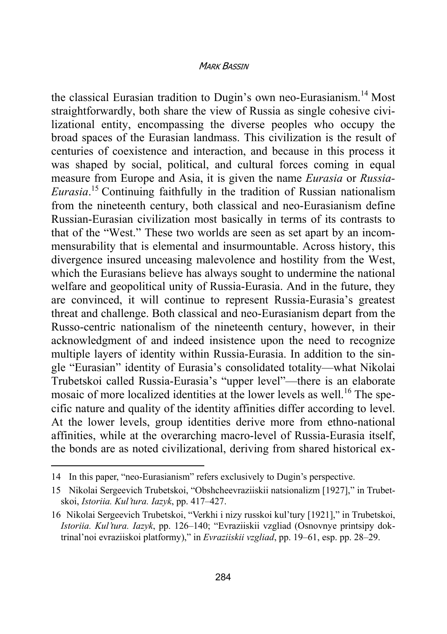the classical Eurasian tradition to Dugin's own neo-Eurasianism.<sup>14</sup> Most straightforwardly, both share the view of Russia as single cohesive civilizational entity, encompassing the diverse peoples who occupy the broad spaces of the Eurasian landmass. This civilization is the result of centuries of coexistence and interaction, and because in this process it was shaped by social, political, and cultural forces coming in equal measure from Europe and Asia, it is given the name *Eurasia* or *Russia-Eurasia*. 15 Continuing faithfully in the tradition of Russian nationalism from the nineteenth century, both classical and neo-Eurasianism define Russian-Eurasian civilization most basically in terms of its contrasts to that of the "West." These two worlds are seen as set apart by an incommensurability that is elemental and insurmountable. Across history, this divergence insured unceasing malevolence and hostility from the West, which the Eurasians believe has always sought to undermine the national welfare and geopolitical unity of Russia-Eurasia. And in the future, they are convinced, it will continue to represent Russia-Eurasia's greatest threat and challenge. Both classical and neo-Eurasianism depart from the Russo-centric nationalism of the nineteenth century, however, in their acknowledgment of and indeed insistence upon the need to recognize multiple layers of identity within Russia-Eurasia. In addition to the single "Eurasian" identity of Eurasia's consolidated totality—what Nikolai Trubetskoi called Russia-Eurasia's "upper level"—there is an elaborate mosaic of more localized identities at the lower levels as well.<sup>16</sup> The specific nature and quality of the identity affinities differ according to level. At the lower levels, group identities derive more from ethno-national affinities, while at the overarching macro-level of Russia-Eurasia itself, the bonds are as noted civilizational, deriving from shared historical ex-

<sup>14</sup> In this paper, "neo-Eurasianism" refers exclusively to Dugin's perspective.

<sup>15</sup> Nikolai Sergeevich Trubetskoi, "Obshcheevraziiskii natsionalizm [1927]," in Trubetskoi, *Istoriia. Kul'tura. Iazyk*, pp. 417–427.

<sup>16</sup> Nikolai Sergeevich Trubetskoi, "Verkhi i nizy russkoi kul'tury [1921]," in Trubetskoi, *Istoriia. Kul'tura. Iazyk*, pp. 126–140; "Evraziiskii vzgliad (Osnovnye printsipy doktrinal'noi evraziiskoi platformy)," in *Evraziiskii vzgliad*, pp. 19–61, esp. pp. 28–29.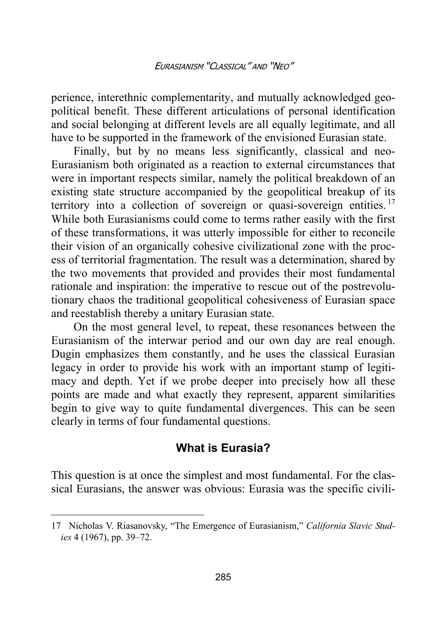perience, interethnic complementarity, and mutually acknowledged geopolitical benefit. These different articulations of personal identification and social belonging at different levels are all equally legitimate, and all have to be supported in the framework of the envisioned Eurasian state.

Finally, but by no means less significantly, classical and neo-Eurasianism both originated as a reaction to external circumstances that were in important respects similar, namely the political breakdown of an existing state structure accompanied by the geopolitical breakup of its territory into a collection of sovereign or quasi-sovereign entities.<sup>17</sup> While both Eurasianisms could come to terms rather easily with the first of these transformations, it was utterly impossible for either to reconcile their vision of an organically cohesive civilizational zone with the process of territorial fragmentation. The result was a determination, shared by the two movements that provided and provides their most fundamental rationale and inspiration: the imperative to rescue out of the postrevolutionary chaos the traditional geopolitical cohesiveness of Eurasian space and reestablish thereby a unitary Eurasian state.

On the most general level, to repeat, these resonances between the Eurasianism of the interwar period and our own day are real enough. Dugin emphasizes them constantly, and he uses the classical Eurasian legacy in order to provide his work with an important stamp of legitimacy and depth. Yet if we probe deeper into precisely how all these points are made and what exactly they represent, apparent similarities begin to give way to quite fundamental divergences. This can be seen clearly in terms of four fundamental questions.

# **What is Eurasia?**

This question is at once the simplest and most fundamental. For the classical Eurasians, the answer was obvious: Eurasia was the specific civili-

<sup>17</sup> Nicholas V. Riasanovsky, "The Emergence of Eurasianism," *California Slavic Studies* 4 (1967), pp. 39–72.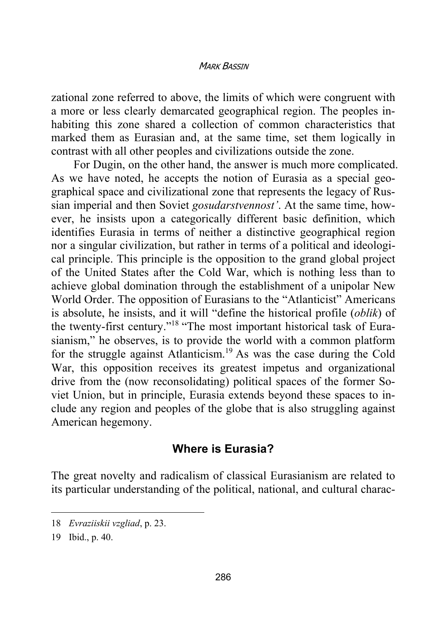zational zone referred to above, the limits of which were congruent with a more or less clearly demarcated geographical region. The peoples inhabiting this zone shared a collection of common characteristics that marked them as Eurasian and, at the same time, set them logically in contrast with all other peoples and civilizations outside the zone.

For Dugin, on the other hand, the answer is much more complicated. As we have noted, he accepts the notion of Eurasia as a special geographical space and civilizational zone that represents the legacy of Russian imperial and then Soviet *gosudarstvennost'*. At the same time, however, he insists upon a categorically different basic definition, which identifies Eurasia in terms of neither a distinctive geographical region nor a singular civilization, but rather in terms of a political and ideological principle. This principle is the opposition to the grand global project of the United States after the Cold War, which is nothing less than to achieve global domination through the establishment of a unipolar New World Order. The opposition of Eurasians to the "Atlanticist" Americans is absolute, he insists, and it will "define the historical profile (*oblik*) of the twenty-first century."18 "The most important historical task of Eurasianism," he observes, is to provide the world with a common platform for the struggle against Atlanticism.19 As was the case during the Cold War, this opposition receives its greatest impetus and organizational drive from the (now reconsolidating) political spaces of the former Soviet Union, but in principle, Eurasia extends beyond these spaces to include any region and peoples of the globe that is also struggling against American hegemony.

# **Where is Eurasia?**

The great novelty and radicalism of classical Eurasianism are related to its particular understanding of the political, national, and cultural charac-

<sup>18</sup> *Evraziiskii vzgliad*, p. 23.

<sup>19</sup> Ibid., p. 40.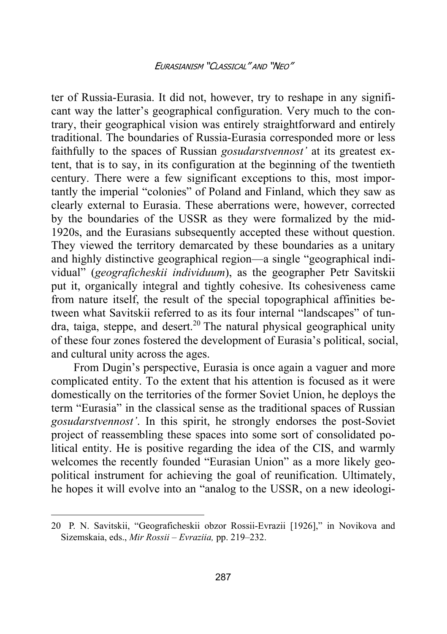ter of Russia-Eurasia. It did not, however, try to reshape in any significant way the latter's geographical configuration. Very much to the contrary, their geographical vision was entirely straightforward and entirely traditional. The boundaries of Russia-Eurasia corresponded more or less faithfully to the spaces of Russian *gosudarstvennost'* at its greatest extent, that is to say, in its configuration at the beginning of the twentieth century. There were a few significant exceptions to this, most importantly the imperial "colonies" of Poland and Finland, which they saw as clearly external to Eurasia. These aberrations were, however, corrected by the boundaries of the USSR as they were formalized by the mid-1920s, and the Eurasians subsequently accepted these without question. They viewed the territory demarcated by these boundaries as a unitary and highly distinctive geographical region—a single "geographical individual" (*geograficheskii individuum*), as the geographer Petr Savitskii put it, organically integral and tightly cohesive. Its cohesiveness came from nature itself, the result of the special topographical affinities between what Savitskii referred to as its four internal "landscapes" of tun $dra$ , taiga, steppe, and desert.<sup>20</sup> The natural physical geographical unity of these four zones fostered the development of Eurasia's political, social, and cultural unity across the ages.

From Dugin's perspective, Eurasia is once again a vaguer and more complicated entity. To the extent that his attention is focused as it were domestically on the territories of the former Soviet Union, he deploys the term "Eurasia" in the classical sense as the traditional spaces of Russian *gosudarstvennost'*. In this spirit, he strongly endorses the post-Soviet project of reassembling these spaces into some sort of consolidated political entity. He is positive regarding the idea of the CIS, and warmly welcomes the recently founded "Eurasian Union" as a more likely geopolitical instrument for achieving the goal of reunification. Ultimately, he hopes it will evolve into an "analog to the USSR, on a new ideologi-

<sup>20</sup> P. N. Savitskii, "Geograficheskii obzor Rossii-Evrazii [1926]," in Novikova and Sizemskaia, eds., *Mir Rossii* – *Evraziia,* pp. 219–232.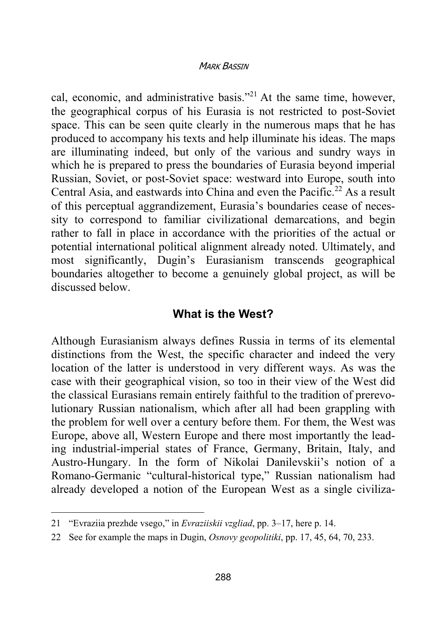cal, economic, and administrative basis."21 At the same time, however, the geographical corpus of his Eurasia is not restricted to post-Soviet space. This can be seen quite clearly in the numerous maps that he has produced to accompany his texts and help illuminate his ideas. The maps are illuminating indeed, but only of the various and sundry ways in which he is prepared to press the boundaries of Eurasia beyond imperial Russian, Soviet, or post-Soviet space: westward into Europe, south into Central Asia, and eastwards into China and even the Pacific.<sup>22</sup> As a result of this perceptual aggrandizement, Eurasia's boundaries cease of necessity to correspond to familiar civilizational demarcations, and begin rather to fall in place in accordance with the priorities of the actual or potential international political alignment already noted. Ultimately, and most significantly, Dugin's Eurasianism transcends geographical boundaries altogether to become a genuinely global project, as will be discussed below.

## **What is the West?**

Although Eurasianism always defines Russia in terms of its elemental distinctions from the West, the specific character and indeed the very location of the latter is understood in very different ways. As was the case with their geographical vision, so too in their view of the West did the classical Eurasians remain entirely faithful to the tradition of prerevolutionary Russian nationalism, which after all had been grappling with the problem for well over a century before them. For them, the West was Europe, above all, Western Europe and there most importantly the leading industrial-imperial states of France, Germany, Britain, Italy, and Austro-Hungary. In the form of Nikolai Danilevskii's notion of a Romano-Germanic "cultural-historical type," Russian nationalism had already developed a notion of the European West as a single civiliza-

<sup>21 &</sup>quot;Evraziia prezhde vsego," in *Evraziiskii vzgliad*, pp. 3–17, here p. 14.

<sup>22</sup> See for example the maps in Dugin, *Osnovy geopolitiki*, pp. 17, 45, 64, 70, 233.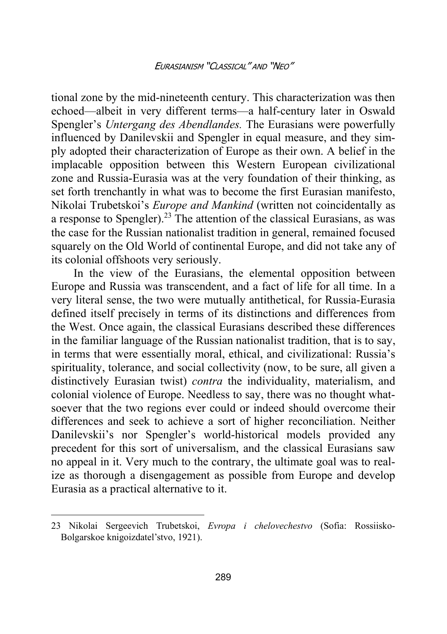tional zone by the mid-nineteenth century. This characterization was then echoed—albeit in very different terms—a half-century later in Oswald Spengler's *Untergang des Abendlandes.* The Eurasians were powerfully influenced by Danilevskii and Spengler in equal measure, and they simply adopted their characterization of Europe as their own. A belief in the implacable opposition between this Western European civilizational zone and Russia-Eurasia was at the very foundation of their thinking, as set forth trenchantly in what was to become the first Eurasian manifesto, Nikolai Trubetskoi's *Europe and Mankind* (written not coincidentally as a response to Spengler).<sup>23</sup> The attention of the classical Eurasians, as was the case for the Russian nationalist tradition in general, remained focused squarely on the Old World of continental Europe, and did not take any of its colonial offshoots very seriously.

In the view of the Eurasians, the elemental opposition between Europe and Russia was transcendent, and a fact of life for all time. In a very literal sense, the two were mutually antithetical, for Russia-Eurasia defined itself precisely in terms of its distinctions and differences from the West. Once again, the classical Eurasians described these differences in the familiar language of the Russian nationalist tradition, that is to say, in terms that were essentially moral, ethical, and civilizational: Russia's spirituality, tolerance, and social collectivity (now, to be sure, all given a distinctively Eurasian twist) *contra* the individuality, materialism, and colonial violence of Europe. Needless to say, there was no thought whatsoever that the two regions ever could or indeed should overcome their differences and seek to achieve a sort of higher reconciliation. Neither Danilevskii's nor Spengler's world-historical models provided any precedent for this sort of universalism, and the classical Eurasians saw no appeal in it. Very much to the contrary, the ultimate goal was to realize as thorough a disengagement as possible from Europe and develop Eurasia as a practical alternative to it.

<sup>23</sup> Nikolai Sergeevich Trubetskoi, *Evropa i chelovechestvo* (Sofia: Rossiisko-Bolgarskoe knigoizdatel'stvo, 1921).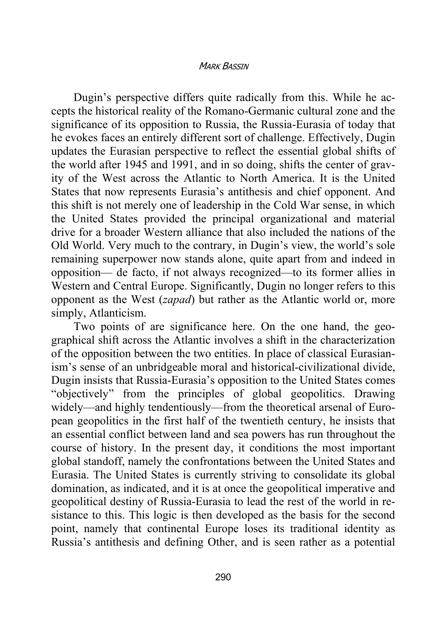Dugin's perspective differs quite radically from this. While he accepts the historical reality of the Romano-Germanic cultural zone and the significance of its opposition to Russia, the Russia-Eurasia of today that he evokes faces an entirely different sort of challenge. Effectively, Dugin updates the Eurasian perspective to reflect the essential global shifts of the world after 1945 and 1991, and in so doing, shifts the center of gravity of the West across the Atlantic to North America. It is the United States that now represents Eurasia's antithesis and chief opponent. And this shift is not merely one of leadership in the Cold War sense, in which the United States provided the principal organizational and material drive for a broader Western alliance that also included the nations of the Old World. Very much to the contrary, in Dugin's view, the world's sole remaining superpower now stands alone, quite apart from and indeed in opposition— de facto, if not always recognized—to its former allies in Western and Central Europe. Significantly, Dugin no longer refers to this opponent as the West (*zapad*) but rather as the Atlantic world or, more simply, Atlanticism.

Two points of are significance here. On the one hand, the geographical shift across the Atlantic involves a shift in the characterization of the opposition between the two entities. In place of classical Eurasianism's sense of an unbridgeable moral and historical-civilizational divide, Dugin insists that Russia-Eurasia's opposition to the United States comes "objectively" from the principles of global geopolitics. Drawing widely—and highly tendentiously—from the theoretical arsenal of European geopolitics in the first half of the twentieth century, he insists that an essential conflict between land and sea powers has run throughout the course of history. In the present day, it conditions the most important global standoff, namely the confrontations between the United States and Eurasia. The United States is currently striving to consolidate its global domination, as indicated, and it is at once the geopolitical imperative and geopolitical destiny of Russia-Eurasia to lead the rest of the world in resistance to this. This logic is then developed as the basis for the second point, namely that continental Europe loses its traditional identity as Russia's antithesis and defining Other, and is seen rather as a potential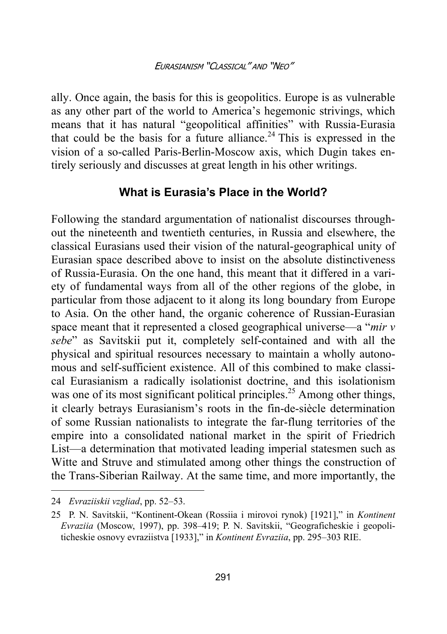ally. Once again, the basis for this is geopolitics. Europe is as vulnerable as any other part of the world to America's hegemonic strivings, which means that it has natural "geopolitical affinities" with Russia-Eurasia that could be the basis for a future alliance.<sup>24</sup> This is expressed in the vision of a so-called Paris-Berlin-Moscow axis, which Dugin takes entirely seriously and discusses at great length in his other writings.

# **What is Eurasia's Place in the World?**

Following the standard argumentation of nationalist discourses throughout the nineteenth and twentieth centuries, in Russia and elsewhere, the classical Eurasians used their vision of the natural-geographical unity of Eurasian space described above to insist on the absolute distinctiveness of Russia-Eurasia. On the one hand, this meant that it differed in a variety of fundamental ways from all of the other regions of the globe, in particular from those adjacent to it along its long boundary from Europe to Asia. On the other hand, the organic coherence of Russian-Eurasian space meant that it represented a closed geographical universe—a "*mir v sebe*" as Savitskii put it, completely self-contained and with all the physical and spiritual resources necessary to maintain a wholly autonomous and self-sufficient existence. All of this combined to make classical Eurasianism a radically isolationist doctrine, and this isolationism was one of its most significant political principles.<sup>25</sup> Among other things, it clearly betrays Eurasianism's roots in the fin-de-siècle determination of some Russian nationalists to integrate the far-flung territories of the empire into a consolidated national market in the spirit of Friedrich List—a determination that motivated leading imperial statesmen such as Witte and Struve and stimulated among other things the construction of the Trans-Siberian Railway. At the same time, and more importantly, the

 $\overline{a}$ 

<sup>24</sup> *Evraziiskii vzgliad*, pp. 52–53.

<sup>25</sup> P. N. Savitskii, "Kontinent-Okean (Rossiia i mirovoi rynok) [1921]," in *Kontinent Evraziia* (Moscow, 1997), pp. 398–419; P. N. Savitskii, "Geograficheskie i geopoliticheskie osnovy evraziistva [1933]," in *Kontinent Evraziia*, pp. 295–303 RIE.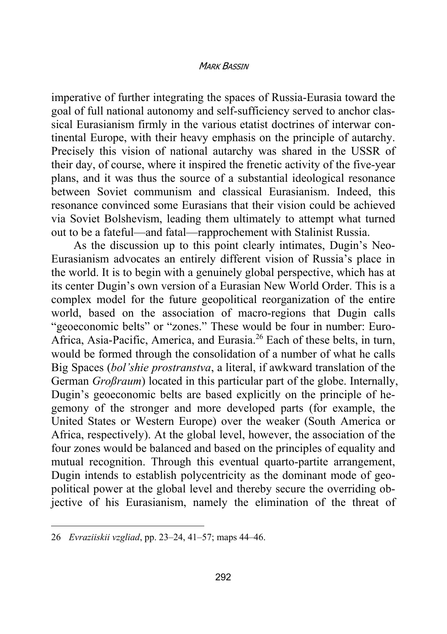imperative of further integrating the spaces of Russia-Eurasia toward the goal of full national autonomy and self-sufficiency served to anchor classical Eurasianism firmly in the various etatist doctrines of interwar continental Europe, with their heavy emphasis on the principle of autarchy. Precisely this vision of national autarchy was shared in the USSR of their day, of course, where it inspired the frenetic activity of the five-year plans, and it was thus the source of a substantial ideological resonance between Soviet communism and classical Eurasianism. Indeed, this resonance convinced some Eurasians that their vision could be achieved via Soviet Bolshevism, leading them ultimately to attempt what turned out to be a fateful—and fatal—rapprochement with Stalinist Russia.

As the discussion up to this point clearly intimates, Dugin's Neo-Eurasianism advocates an entirely different vision of Russia's place in the world. It is to begin with a genuinely global perspective, which has at its center Dugin's own version of a Eurasian New World Order. This is a complex model for the future geopolitical reorganization of the entire world, based on the association of macro-regions that Dugin calls "geoeconomic belts" or "zones." These would be four in number: Euro-Africa, Asia-Pacific, America, and Eurasia.26 Each of these belts, in turn, would be formed through the consolidation of a number of what he calls Big Spaces (*bol'shie prostranstva*, a literal, if awkward translation of the German *Großraum*) located in this particular part of the globe. Internally, Dugin's geoeconomic belts are based explicitly on the principle of hegemony of the stronger and more developed parts (for example, the United States or Western Europe) over the weaker (South America or Africa, respectively). At the global level, however, the association of the four zones would be balanced and based on the principles of equality and mutual recognition. Through this eventual quarto-partite arrangement, Dugin intends to establish polycentricity as the dominant mode of geopolitical power at the global level and thereby secure the overriding objective of his Eurasianism, namely the elimination of the threat of

<sup>26</sup> *Evraziiskii vzgliad*, pp. 23–24, 41–57; maps 44–46.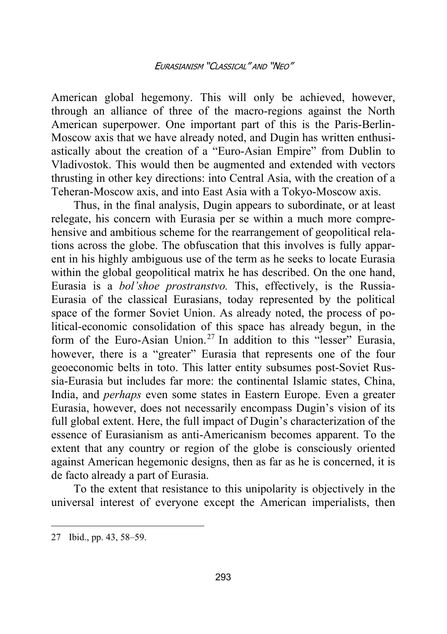American global hegemony. This will only be achieved, however, through an alliance of three of the macro-regions against the North American superpower. One important part of this is the Paris-Berlin-Moscow axis that we have already noted, and Dugin has written enthusiastically about the creation of a "Euro-Asian Empire" from Dublin to Vladivostok. This would then be augmented and extended with vectors thrusting in other key directions: into Central Asia, with the creation of a Teheran-Moscow axis, and into East Asia with a Tokyo-Moscow axis.

Thus, in the final analysis, Dugin appears to subordinate, or at least relegate, his concern with Eurasia per se within a much more comprehensive and ambitious scheme for the rearrangement of geopolitical relations across the globe. The obfuscation that this involves is fully apparent in his highly ambiguous use of the term as he seeks to locate Eurasia within the global geopolitical matrix he has described. On the one hand, Eurasia is a *bol'shoe prostranstvo.* This, effectively, is the Russia-Eurasia of the classical Eurasians, today represented by the political space of the former Soviet Union. As already noted, the process of political-economic consolidation of this space has already begun, in the form of the Euro-Asian Union.<sup>27</sup> In addition to this "lesser" Eurasia, however, there is a "greater" Eurasia that represents one of the four geoeconomic belts in toto. This latter entity subsumes post-Soviet Russia-Eurasia but includes far more: the continental Islamic states, China, India, and *perhaps* even some states in Eastern Europe. Even a greater Eurasia, however, does not necessarily encompass Dugin's vision of its full global extent. Here, the full impact of Dugin's characterization of the essence of Eurasianism as anti-Americanism becomes apparent. To the extent that any country or region of the globe is consciously oriented against American hegemonic designs, then as far as he is concerned, it is de facto already a part of Eurasia.

To the extent that resistance to this unipolarity is objectively in the universal interest of everyone except the American imperialists, then

<sup>27</sup> Ibid., pp. 43, 58–59.